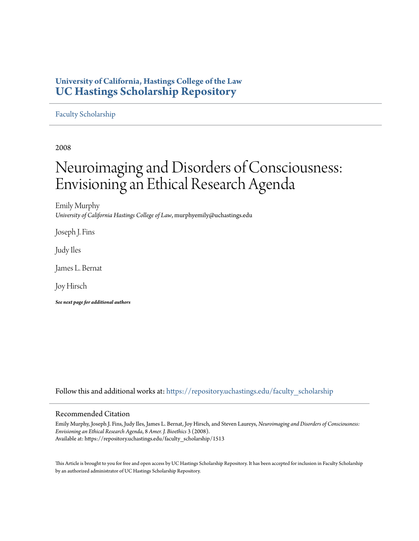## **University of California, Hastings College of the Law [UC Hastings Scholarship Repository](https://repository.uchastings.edu?utm_source=repository.uchastings.edu%2Ffaculty_scholarship%2F1513&utm_medium=PDF&utm_campaign=PDFCoverPages)**

[Faculty Scholarship](https://repository.uchastings.edu/faculty_scholarship?utm_source=repository.uchastings.edu%2Ffaculty_scholarship%2F1513&utm_medium=PDF&utm_campaign=PDFCoverPages)

2008

## Neuroimaging and Disorders of Consciousness: Envisioning an Ethical Research Agenda

Emily Murphy *University of California Hastings College of Law*, murphyemily@uchastings.edu

Joseph J. Fins

Judy Iles

James L. Bernat

Joy Hirsch

*See next page for additional authors*

Follow this and additional works at: [https://repository.uchastings.edu/faculty\\_scholarship](https://repository.uchastings.edu/faculty_scholarship?utm_source=repository.uchastings.edu%2Ffaculty_scholarship%2F1513&utm_medium=PDF&utm_campaign=PDFCoverPages)

## Recommended Citation

Emily Murphy, Joseph J. Fins, Judy Iles, James L. Bernat, Joy Hirsch, and Steven Laureys, *Neuroimaging and Disorders of Consciousness: Envisioning an Ethical Research Agenda*, 8 *Amer. J. Bioethics* 3 (2008). Available at: https://repository.uchastings.edu/faculty\_scholarship/1513

This Article is brought to you for free and open access by UC Hastings Scholarship Repository. It has been accepted for inclusion in Faculty Scholarship by an authorized administrator of UC Hastings Scholarship Repository.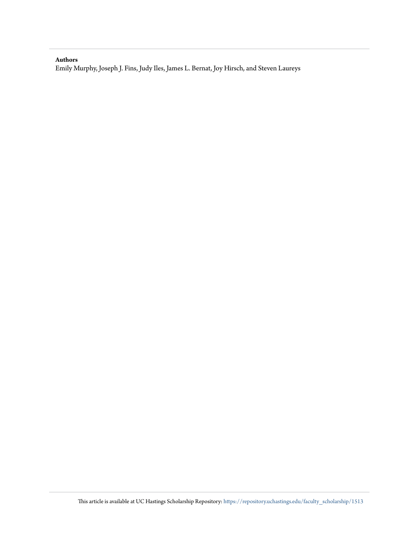## **Authors**

Emily Murphy, Joseph J. Fins, Judy Iles, James L. Bernat, Joy Hirsch, and Steven Laureys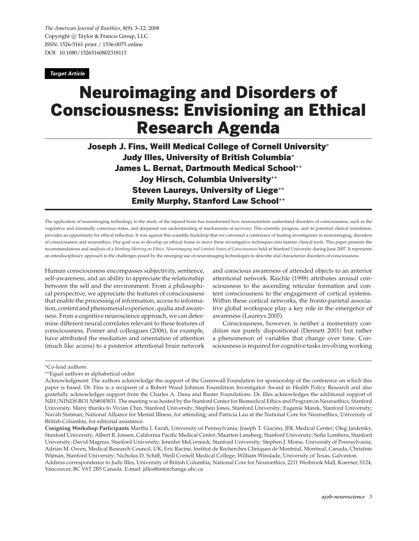*The American Journal of Bioethics*, 8(9): 3–12, 2008 Copyright © Taylor & Francis Group, LLC ISSN: 1526-5161 print / 1536-0075 online DOI: 10.1080/15265160802318113

*Target Article*

# Neuroimaging and Disorders of Consciousness: Envisioning an Ethical Research Agenda

Joseph J. Fins, Weill Medical College of Cornell University*<sup>∗</sup>* Judy Illes, University of British Columbia*<sup>∗</sup>* James L. Bernat, Dartmouth Medical School*∗∗* Joy Hirsch, Columbia University*∗∗* Steven Laureys, University of Liege*∗∗* Emily Murphy, Stanford Law School*∗∗*

The application of neuroimaging technology to the study of the injured brain has transformed how neuroscientists understand disorders of consciousness, such as the vegetative and minimally conscious states, and deepened our understanding of mechanisms of recovery. This scientific progress, and its potential clinical translation, provides an opportunity for ethical reflection. It was against this scientific backdrop that we convened a conference of leading investigators in neuroimaging, disorders of consciousness and neuroethics. Our goal was to develop an ethical frame to move these investigative techniques into mature clinical tools. This paper presents the recommendations and analysis of a *Working Meeting on Ethics, Neuroimaging and Limited States of Consciousness* held at Stanford University during June 2007. It represents an interdisciplinary approach to the challenges posed by the emerging use of neuroimaging technologies to describe and characterize disorders of consciousness.

Human consciousness encompasses subjectivity, sentience, self-awareness, and an ability to appreciate the relationship between the self and the environment. From a philosophical perspective, we appreciate the features of consciousness that enable the processing of information, access to information, content and phenomenal experience, qualia and awareness. From a cognitive neuroscience approach, we can determine different neural correlates relevant to these features of consciousness. Posner and colleagues (2006), for example, have attributed the mediation and orientation of attention (much like access) to a posterior attentional brain network and conscious awareness of attended objects to an anterior attentional network. Raichle (1998) attributes arousal consciousness to the ascending reticular formation and content consciousness to the engagement of cortical systems. Within these cortical networks, the fronto-parietal associative global workspace play a key role in the emergence of awareness (Laureys 2005).

Consciousness, however, is neither a momentary condition nor purely dispositional (Dennett 2001) but rather a phenomenon of variables that change over time. Consciousness is required for cognitive tasks involving working

<sup>∗</sup>Co-lead authors.

<sup>∗∗</sup>Equal authors in alphabetical order.

Acknowledgment: The authors acknowledge the support of the Greenwall Foundation for sponsorship of the conference on which this paper is based. Dr. Fins is a recipient of a Robert Wood Johnson Foundation Investigator Award in Health Policy Research and also gratefully acknowledges support from the Charles A. Dana and Buster Foundations. Dr. Illes acknowledges the additional support of NIH/NINDS RO1 NS#045831. The meeting was hosted by the Stanford Center for Biomedical Ethics and Program in Neuroethics, Stanford University. Many thanks to Vivian Chin, Stanford University; Stephen Jones, Stanford University; Eugenie Marek, Stanford University; Navah Statman, National Alliance for Mental Illness, for attending; and Patricia Lau at the National Core for Neuroethics, University of British Columbia, for editorial assistance.

**Cosigning Workshop Participants** Martha J. Farah, University of Pennsylvania; Joseph T. Giacino, JFK Medical Center; Oleg Jardetsky, Stanford University; Albert R. Jonsen, California Pacific Medical Center; Maarten Lansberg, Stanford University; Sofia Lombera, Stanford University; David Magnus, Stanford University; Jennifer McCormick, Stanford University; Stephen J. Morse, University of Pennsylvania; Adrian M. Owen, Medical Research Council, UK; Eric Racine, Institut de Recherches Cliniques de Montréal, Montreal, Canada; Christine Wijman, Stanford University; Nicholas D. Schiff, Weill Cornell Medical College; William Winslade, University of Texas, Galveston.

Address correspondence to Judy Illes, University of British Columbia, National Core for Neuroethics, 2211 Wesbrook Mall, Koerner, S124, Vancouver, BC V6T 2B5 Canada. E-mail: jilles@interchange.ubc.ca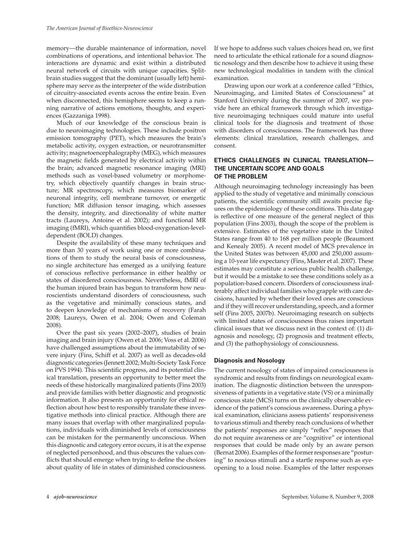memory—the durable maintenance of information, novel combinations of operations, and intentional behavior. The interactions are dynamic and exist within a distributed neural network of circuits with unique capacities. Splitbrain studies suggest that the dominant (usually left) hemisphere may serve as the interpreter of the wide distribution of circuitry-associated events across the entire brain. Even when disconnected, this hemisphere seems to keep a running narrative of actions emotions, thoughts, and experiences (Gazzaniga 1998).

Much of our knowledge of the conscious brain is due to neuroimaging technologies. These include positron emission tomography (PET), which measures the brain's metabolic activity, oxygen extraction, or neurotransmitter activity; magnetoencephalography (MEG), which measures the magnetic fields generated by electrical activity within the brain; advanced magnetic resonance imaging (MRI) methods such as voxel-based volumetry or morphometry, which objectively quantify changes in brain structure; MR spectroscopy, which measures biomarker of neuronal integrity, cell membrane turnover, or energetic function; MR diffusion tensor imaging, which assesses the density, integrity, and directionality of white matter tracts (Laureys, Antoine et al. 2002); and functional MR imaging (fMRI), which quantifies blood-oxygenation-leveldependent (BOLD) changes.

Despite the availability of these many techniques and more than 30 years of work using one or more combinations of them to study the neural basis of consciousness, no single architecture has emerged as a unifying feature of conscious reflective performance in either healthy or states of disordered consciousness. Nevertheless, fMRI of the human injured brain has begun to transform how neuroscientists understand disorders of consciousness, such as the vegetative and minimally conscious states, and to deepen knowledge of mechanisms of recovery (Farah 2008; Laureys, Owen et al. 2004; Owen and Coleman 2008).

Over the past six years (2002–2007), studies of brain imaging and brain injury (Owen et al. 2006; Voss et al. 2006) have challenged assumptions about the immutability of severe injury (Fins, Schiff et al. 2007) as well as decades-old diagnostic categories (Jennett 2002; Multi-Society Task Force on PVS 1994). This scientific progress, and its potential clinical translation, presents an opportunity to better meet the needs of these historically marginalized patients (Fins 2003) and provide families with better diagnostic and prognostic information. It also presents an opportunity for ethical reflection about how best to responsibly translate these investigative methods into clinical practice. Although there are many issues that overlap with other marginalized populations, individuals with diminished levels of consciousness can be mistaken for the permanently unconscious. When this diagnostic and category error occurs, it is at the expense of neglected personhood, and thus obscures the values conflicts that should emerge when trying to define the choices about quality of life in states of diminished consciousness.

If we hope to address such values choices head on, we first need to articulate the ethical rationale for a sound diagnostic nosology and then describe how to achieve it using these new technological modalities in tandem with the clinical examination.

Drawing upon our work at a conference called "Ethics, Neuroimaging, and Limited States of Consciousness" at Stanford University during the summer of 2007, we provide here an ethical framework through which investigative neuroimaging techniques could mature into useful clinical tools for the diagnosis and treatment of those with disorders of consciousness. The framework has three elements: clinical translation, research challenges, and consent.

## **ETHICS CHALLENGES IN CLINICAL TRANSLATION— THE UNCERTAIN SCOPE AND GOALS OF THE PROBLEM**

Although neuroimaging technology increasingly has been applied to the study of vegetative and minimally conscious patients, the scientific community still awaits precise figures on the epidemiology of these conditions. This data gap is reflective of one measure of the general neglect of this population (Fins 2003), though the scope of the problem is extensive. Estimates of the vegetative state in the United States range from 40 to 168 per million people (Beaumont and Kenealy 2005). A recent model of MCS prevalence in the United States was between 45,000 and 250,000 assuming a 10-year life expectancy (Fins, Master et al. 2007). These estimates may constitute a serious public health challenge, but it would be a mistake to see these conditions solely as a population-based concern. Disorders of consciousness inalterably affect individual families who grapple with care decisions, haunted by whether their loved ones are conscious and if they will recover understanding, speech, and a former self (Fins 2005, 2007b). Neuroimaging research on subjects with limited states of consciousness thus raises important clinical issues that we discuss next in the context of: (1) diagnosis and nosology, (2) prognosis and treatment effects, and (3) the pathophysiology of consciousness.

## **Diagnosis and Nosology**

The current nosology of states of impaired consciousness is syndromic and results from findings on neurological examination. The diagnostic distinction between the unresponsiveness of patients in a vegetative state (VS) or a minimally conscious state (MCS) turns on the clinically observable evidence of the patient's conscious awareness. During a physical examination, clinicians assess patients' responsiveness to various stimuli and thereby reach conclusions of whether the patients' responses are simply "reflex" responses that do not require awareness or are "cognitive" or intentional responses that could be made only by an aware person (Bernat 2006). Examples of the former responses are "posturing" to noxious stimuli and a startle response such as eyeopening to a loud noise. Examples of the latter responses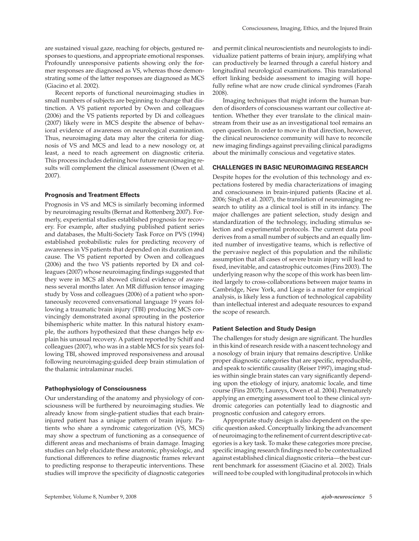are sustained visual gaze, reaching for objects, gestured responses to questions, and appropriate emotional responses. Profoundly unresponsive patients showing only the former responses are diagnosed as VS, whereas those demonstrating some of the latter responses are diagnosed as MCS (Giacino et al. 2002).

Recent reports of functional neuroimaging studies in small numbers of subjects are beginning to change that distinction. A VS patient reported by Owen and colleagues (2006) and the VS patients reported by Di and colleagues (2007) likely were in MCS despite the absence of behavioral evidence of awareness on neurological examination. Thus, neuroimaging data may alter the criteria for diagnosis of VS and MCS and lead to a new nosology or, at least, a need to reach agreement on diagnostic criteria. This process includes defining how future neuroimaging results will complement the clinical assessment (Owen et al. 2007).

#### **Prognosis and Treatment Effects**

Prognosis in VS and MCS is similarly becoming informed by neuroimaging results (Bernat and Rottenberg 2007). Formerly, experiential studies established prognosis for recovery. For example, after studying published patient series and databases, the Multi-Society Task Force on PVS (1994) established probabilistic rules for predicting recovery of awareness in VS patients that depended on its duration and cause. The VS patient reported by Owen and colleagues (2006) and the two VS patients reported by Di and colleagues (2007) whose neuroimaging findings suggested that they were in MCS all showed clinical evidence of awareness several months later. An MR diffusion tensor imaging study by Voss and colleagues (2006) of a patient who spontaneously recovered conversational language 19 years following a traumatic brain injury (TBI) producing MCS convincingly demonstrated axonal sprouting in the posterior bihemispheric white matter. In this natural history example, the authors hypothesized that these changes help explain his unusual recovery. A patient reported by Schiff and colleagues (2007), who was in a stable MCS for six years following TBI, showed improved responsiveness and arousal following neuroimaging-guided deep brain stimulation of the thalamic intralaminar nuclei.

#### **Pathophysiology of Consciousness**

Our understanding of the anatomy and physiology of consciousness will be furthered by neuroimaging studies. We already know from single-patient studies that each braininjured patient has a unique pattern of brain injury. Patients who share a syndromic categorization (VS, MCS) may show a spectrum of functioning as a consequence of different areas and mechanisms of brain damage. Imaging studies can help elucidate these anatomic, physiologic, and functional differences to refine diagnostic frames relevant to predicting response to therapeutic interventions. These studies will improve the specificity of diagnostic categories

and permit clinical neuroscientists and neurologists to individualize patient patterns of brain injury, amplifying what can productively be learned through a careful history and longitudinal neurological examinations. This translational effort linking bedside assessment to imaging will hopefully refine what are now crude clinical syndromes (Farah 2008).

Imaging techniques that might inform the human burden of disorders of consciousness warrant our collective attention. Whether they ever translate to the clinical mainstream from their use as an investigational tool remains an open question. In order to move in that direction, however, the clinical neuroscience community will have to reconcile new imaging findings against prevailing clinical paradigms about the minimally conscious and vegetative states.

#### **CHALLENGES IN BASIC NEUROIMAGING RESEARCH**

Despite hopes for the evolution of this technology and expectations fostered by media characterizations of imaging and consciousness in brain-injured patients (Racine et al. 2006; Singh et al. 2007), the translation of neuroimaging research to utility as a clinical tool is still in its infancy. The major challenges are patient selection, study design and standardization of the technology, including stimulus selection and experimental protocols. The current data pool derives from a small number of subjects and an equally limited number of investigative teams, which is reflective of the pervasive neglect of this population and the nihilistic assumption that all cases of severe brain injury will lead to fixed, inevitable, and catastrophic outcomes (Fins 2003). The underlying reason why the scope of this work has been limited largely to cross-collaborations between major teams in Cambridge, New York, and Liege is a matter for empirical analysis, is likely less a function of technological capability than intellectual interest and adequate resources to expand the scope of research.

#### **Patient Selection and Study Design**

The challenges for study design are significant. The hurdles in this kind of research reside with a nascent technology and a nosology of brain injury that remains descriptive. Unlike proper diagnostic categories that are specific, reproducible, and speak to scientific causality (Reiser 1997), imaging studies within single brain states can vary significantly depending upon the etiology of injury, anatomic locale, and time course (Fins 2007b; Laureys, Owen et al. 2004).Prematurely applying an emerging assessment tool to these clinical syndromic categories can potentially lead to diagnostic and prognostic confusion and category errors.

Appropriate study design is also dependent on the specific question asked. Conceptually linking the advancement of neuroimaging to the refinement of current descriptive categories is a key task. To make these categories more precise, specific imaging research findings need to be contextualized against established clinical diagnostic criteria—the best current benchmark for assessment (Giacino et al. 2002). Trials will need to be coupled with longitudinal protocols in which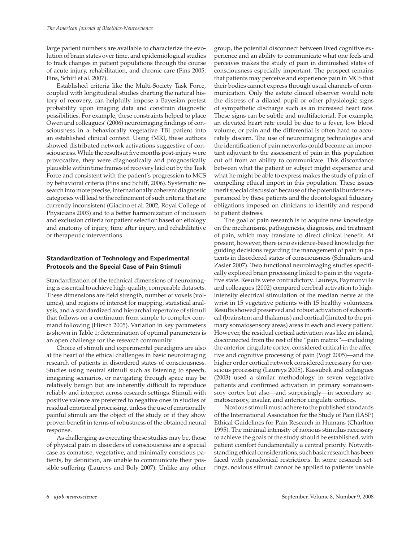large patient numbers are available to characterize the evolution of brain states over time, and epidemiological studies to track changes in patient populations through the course of acute injury, rehabilitation, and chronic care (Fins 2005; Fins, Schiff et al. 2007).

Established criteria like the Multi-Society Task Force, coupled with longitudinal studies charting the natural history of recovery, can helpfully impose a Bayesian pretest probability upon imaging data and constrain diagnostic possibilities. For example, these constraints helped to place Owen and colleagues' (2006) neuroimaging findings of consciousness in a behaviorally vegetative TBI patient into an established clinical context. Using fMRI, these authors showed distributed network activations suggestive of consciousness. While the results at five months post-injury were provocative, they were diagnostically and prognostically plausible within time frames of recovery laid out by the Task Force and consistent with the patient's progression to MCS by behavioral criteria (Fins and Schiff, 2006). Systematic research into more precise, internationally coherent diagnostic categories will lead to the refinement of such criteria that are currently inconsistent (Giacino et al. 2002; Royal College of Physicians 2003) and to a better harmonization of inclusion and exclusion criteria for patient selection based on etiology and anatomy of injury, time after injury, and rehabilitative or therapeutic interventions.

## **Standardization of Technology and Experimental Protocols and the Special Case of Pain Stimuli**

Standardization of the technical dimensions of neuroimaging is essential to achieve high-quality, comparable data sets. These dimensions are field strength, number of voxels (volumes), and regions of interest for mapping, statistical analysis, and a standardized and hierarchal repertoire of stimuli that follows on a continuum from simple to complex command following (Hirsch 2005). Variation in key parameters is shown in Table 1; determination of optimal parameters is an open challenge for the research community.

Choice of stimuli and experimental paradigms are also at the heart of the ethical challenges in basic neuroimaging research of patients in disordered states of consciousness. Studies using neutral stimuli such as listening to speech, imagining scenarios, or navigating through space may be relatively benign but are inherently difficult to reproduce reliably and interpret across research settings. Stimuli with positive valence are preferred to negative ones in studies of residual emotional processing, unless the use of emotionally painful stimuli are the object of the study or if they show proven benefit in terms of robustness of the obtained neural response.

As challenging as executing these studies may be, those of physical pain in disorders of consciousness are a special case as comatose, vegetative, and minimally conscious patients, by definition, are unable to communicate their possible suffering (Laureys and Boly 2007). Unlike any other group, the potential disconnect between lived cognitive experience and an ability to communicate what one feels and perceives makes the study of pain in diminished states of consciousness especially important. The prospect remains that patients may perceive and experience pain in MCS that their bodies cannot express through usual channels of communication. Only the astute clinical observer would note the distress of a dilated pupil or other physiologic signs of sympathetic discharge such as an increased heart rate. These signs can be subtle and multifactorial. For example, an elevated heart rate could be due to a fever, low blood volume, or pain and the differential is often hard to accurately discern. The use of neuroimaging technologies and the identification of pain networks could become an important adjuvant to the assessment of pain in this population cut off from an ability to communicate. This discordance between what the patient or subject might experience and what he might be able to express makes the study of pain of compelling ethical import in this population. These issues merit special discussion because of the potential burdens experienced by these patients and the deontological fiduciary obligations imposed on clinicians to identify and respond to patient distress.

The goal of pain research is to acquire new knowledge on the mechanisms, pathogenesis, diagnosis, and treatment of pain, which may translate to direct clinical benefit. At present, however, there is no evidence-based knowledge for guiding decisions regarding the management of pain in patients in disordered states of consciousness (Schnakers and Zasler 2007). Two functional neuroimaging studies specifically explored brain processing linked to pain in the vegetative state. Results were contradictory. Laureys, Faymonville and colleagues (2002) compared cerebral activation to highintensity electrical stimulation of the median nerve at the wrist in 15 vegetative patients with 15 healthy volunteers. Results showed preserved and robust activation of subcortical (brainstem and thalamus) and cortical (limited to the primary somatosensory areas) areas in each and every patient. However, the residual cortical activation was like an island, disconnected from the rest of the "pain matrix"—including the anterior cingulate cortex, considered critical in the affective and cognitive processing of pain (Vogt 2005)—and the higher order cortical network considered necessary for conscious processing (Laureys 2005). Kassubek and colleagues (2003) used a similar methodology in seven vegetative patients and confirmed activation in primary somatosensory cortex but also—and surprisingly—in secondary somatosensory, insular, and anterior cingulate cortices.

Noxious stimuli must adhere to the published standards of the International Association for the Study of Pain (IASP) Ethical Guidelines for Pain Research in Humans (Charlton 1995). The minimal intensity of noxious stimulus necessary to achieve the goals of the study should be established, with patient comfort fundamentally a central priority. Notwithstanding ethical considerations, such basic research has been faced with paradoxical restrictions. In some research settings, noxious stimuli cannot be applied to patients unable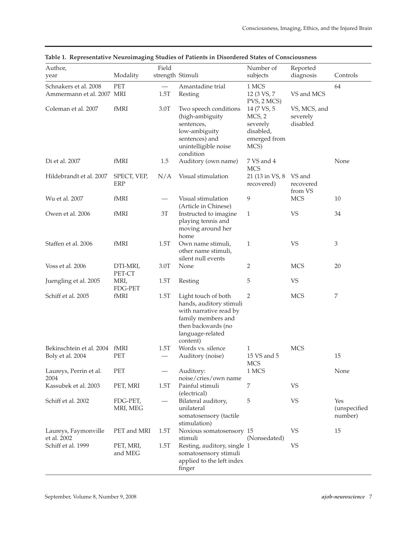|                                     |                      | Field                         | Table 1. Representative incurbiniaging buddles of Fattents in Disordered blates of Consciousness                                                     | Number of                          |                                      |                                |
|-------------------------------------|----------------------|-------------------------------|------------------------------------------------------------------------------------------------------------------------------------------------------|------------------------------------|--------------------------------------|--------------------------------|
| Author,<br>year                     | Modality             | strength Stimuli              |                                                                                                                                                      | subjects                           | Reported<br>diagnosis                | Controls                       |
| Schnakers et al. 2008               | <b>PET</b>           | $\overline{\phantom{0}}$      | Amantadine trial                                                                                                                                     | 1 MCS                              |                                      | 64                             |
| Ammermann et al. 2007 MRI           |                      | 1.5T                          | Resting                                                                                                                                              | 12 (3 VS, 7<br>PVS, 2 MCS)         | VS and MCS                           |                                |
| Coleman et al. 2007                 | fMRI                 | 3.0T                          | Two speech conditions<br>(high-ambiguity<br>sentences,                                                                                               | 14 (7 VS, 5)<br>MCS, 2<br>severely | VS, MCS, and<br>severely<br>disabled |                                |
|                                     |                      |                               | low-ambiguity<br>sentences) and<br>unintelligible noise<br>condition                                                                                 | disabled,<br>emerged from<br>MCS)  |                                      |                                |
| Di et al. 2007                      | fMRI                 | 1.5                           | Auditory (own name)                                                                                                                                  | 7 VS and 4<br><b>MCS</b>           |                                      | None                           |
| Hildebrandt et al. 2007             | SPECT, VEP,<br>ERP   | N/A                           | Visual stimulation                                                                                                                                   | 21 (13 in VS, 8)<br>recovered)     | VS and<br>recovered<br>from VS       |                                |
| Wu et al. 2007                      | fMRI                 | $\overbrace{\phantom{13333}}$ | Visual stimulation<br>(Article in Chinese)                                                                                                           | 9                                  | <b>MCS</b>                           | 10                             |
| Owen et al. 2006                    | fMRI                 | 3T                            | Instructed to imagine<br>playing tennis and<br>moving around her<br>home                                                                             | $\mathbf{1}$                       | <b>VS</b>                            | 34                             |
| Staffen et al. 2006                 | fMRI                 | 1.5T                          | Own name stimuli,<br>other name stimuli,<br>silent null events                                                                                       | $\mathbf{1}$                       | <b>VS</b>                            | 3                              |
| Voss et al. 2006                    | DTI-MRI,<br>PET-CT   | 3.0T                          | None                                                                                                                                                 | 2                                  | <b>MCS</b>                           | 20                             |
| Juengling et al. 2005               | MRI,<br>FDG-PET      | 1.5T                          | Resting                                                                                                                                              | 5                                  | <b>VS</b>                            |                                |
| Schiff et al. 2005                  | fMRI                 | 1.5T                          | Light touch of both<br>hands, auditory stimuli<br>with narrative read by<br>family members and<br>then backwards (no<br>language-related<br>content) | $\overline{2}$                     | <b>MCS</b>                           | 7                              |
| Bekinschtein et al. 2004 fMRI       |                      | 1.5T                          | Words vs. silence                                                                                                                                    | 1                                  | <b>MCS</b>                           |                                |
| Boly et al. 2004                    | <b>PET</b>           | $\overline{\phantom{m}}$      | Auditory (noise)                                                                                                                                     | 15 VS and 5<br><b>MCS</b>          |                                      | 15                             |
| Laureys, Perrin et al.<br>2004      | PET                  |                               | Auditory:<br>noise/cries/own name                                                                                                                    | 1 MCS                              |                                      | None                           |
| Kassubek et al. 2003                | PET, MRI             | 1.5T                          | Painful stimuli<br>(electrical)                                                                                                                      | 7                                  | <b>VS</b>                            |                                |
| Schiff et al. 2002                  | FDG-PET,<br>MRI, MEG |                               | Bilateral auditory,<br>unilateral<br>somatosensory (tactile<br>stimulation)                                                                          | 5                                  | <b>VS</b>                            | Yes<br>(unspecified<br>number) |
| Laureys, Faymonville<br>et al. 2002 | PET and MRI          | 1.5T                          | Noxious somatosensory 15<br>stimuli                                                                                                                  | (Nonsedated)                       | <b>VS</b>                            | 15                             |
| Schiff et al. 1999                  | PET, MRI,<br>and MEG | 1.5T                          | Resting, auditory, single 1<br>somatosensory stimuli<br>applied to the left index<br>finger                                                          |                                    | VS                                   |                                |

**Table 1. Representative Neuroimaging Studies of Patients in Disordered States of Consciousness**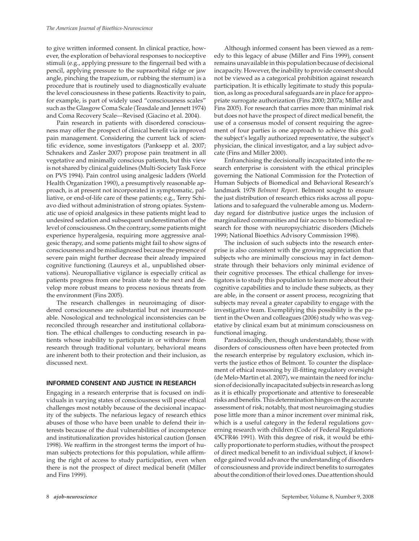to give written informed consent. In clinical practice, however, the exploration of behavioral responses to nociceptive stimuli (e.g., applying pressure to the fingernail bed with a pencil, applying pressure to the supraorbital ridge or jaw angle, pinching the trapezium, or rubbing the sternum) is a procedure that is routinely used to diagnostically evaluate the level consciousness in these patients. Reactivity to pain, for example, is part of widely used "consciousness scales" such as the Glasgow Coma Scale (Teasdale and Jennett 1974) and Coma Recovery Scale—Revised (Giacino et al. 2004).

Pain research in patients with disordered consciousness may offer the prospect of clinical benefit via improved pain management. Considering the current lack of scientific evidence, some investigators (Panksepp et al. 2007; Schnakers and Zasler 2007) propose pain treatment in all vegetative and minimally conscious patients, but this view is not shared by clinical guidelines (Multi-Society Task Force on PVS 1994). Pain control using analgesic ladders (World Health Organization 1990), a presumptively reasonable approach, is at present not incorporated in symptomatic, palliative, or end-of-life care of these patients; e.g., Terry Schiavo died without administration of strong opiates. Systematic use of opioid analgesics in these patients might lead to undesired sedation and subsequent underestimation of the level of consciousness. On the contrary, some patients might experience hyperalgesia, requiring more aggressive analgesic therapy, and some patients might fail to show signs of consciousness and be misdiagnosed because the presence of severe pain might further decrease their already impaired cognitive functioning (Laureys et al., unpublished observations). Neuropalliative vigilance is especially critical as patients progress from one brain state to the next and develop more robust means to process noxious threats from the environment (Fins 2005).

The research challenges in neuroimaging of disordered consciousness are substantial but not insurmountable. Nosological and technological inconsistencies can be reconciled through researcher and institutional collaboration. The ethical challenges to conducting research in patients whose inability to participate in or withdraw from research through traditional voluntary, behavioral means are inherent both to their protection and their inclusion, as discussed next.

## **INFORMED CONSENT AND JUSTICE IN RESEARCH**

Engaging in a research enterprise that is focused on individuals in varying states of consciousness will pose ethical challenges most notably because of the decisional incapacity of the subjects. The nefarious legacy of research ethics abuses of those who have been unable to defend their interests because of the dual vulnerabilities of incompetence and institutionalization provides historical caution (Jonsen 1998). We reaffirm in the strongest terms the import of human subjects protections for this population, while affirming the right of access to study participation, even when there is not the prospect of direct medical benefit (Miller and Fins 1999).

Although informed consent has been viewed as a remedy to this legacy of abuse (Miller and Fins 1999), consent remains unavailable in this population because of decisional incapacity. However, the inability to provide consent should not be viewed as a categorical prohibition against research participation. It is ethically legitimate to study this population, as long as procedural safeguards are in place for appropriate surrogate authorization (Fins 2000; 2007a; Miller and Fins 2005). For research that carries more than minimal risk but does not have the prospect of direct medical benefit, the use of a consensus model of consent requiring the agreement of four parties is one approach to achieve this goal: the subject's legally authorized representative, the subject's physician, the clinical investigator, and a lay subject advocate (Fins and Miller 2000).

Enfranchising the decisionally incapacitated into the research enterprise is consistent with the ethical principles governing the National Commission for the Protection of Human Subjects of Biomedical and Behavioral Research's landmark 1978 *Belmont Report*. Belmont sought to ensure the just distribution of research ethics risks across all populations and to safeguard the vulnerable among us. Modernday regard for distributive justice urges the inclusion of marginalized communities and fair access to biomedical research for those with neuropsychiatric disorders (Michels 1999; National Bioethics Advisory Commission 1998).

The inclusion of such subjects into the research enterprise is also consistent with the growing appreciation that subjects who are minimally conscious may in fact demonstrate through their behaviors only minimal evidence of their cognitive processes. The ethical challenge for investigators is to study this population to learn more about their cognitive capabilities and to include these subjects, as they are able, in the consent or assent process, recognizing that subjects may reveal a greater capability to engage with the investigative team. Exemplifying this possibility is the patient in the Owen and colleagues (2006) study who was vegetative by clinical exam but at minimum consciousness on functional imaging.

Paradoxically, then, though understandably, those with disorders of consciousness often have been protected from the research enterprise by regulatory exclusion, which inverts the justice ethos of Belmont. To counter the displacement of ethical reasoning by ill-fitting regulatory oversight (de Melo-Martin et al. 2007), we maintain the need for inclusion of decisionally incapacitated subjects in research as long as it is ethically proportionate and attentive to foreseeable risks and benefits. This determination hinges on the accurate assessment of risk; notably, that most neuroimaging studies pose little more than a minor increment over minimal risk, which is a useful category in the federal regulations governing research with children (Code of Federal Regulations 45CFR46 1991). With this degree of risk, it would be ethically proportionate to perform studies, without the prospect of direct medical benefit to an individual subject, if knowledge gained would advance the understanding of disorders of consciousness and provide indirect benefits to surrogates about the condition of their loved ones. Due attention should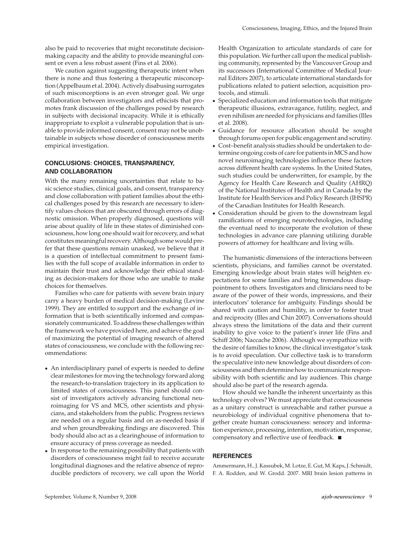also be paid to recoveries that might reconstitute decisionmaking capacity and the ability to provide meaningful consent or even a less robust assent (Fins et al. 2006).

We caution against suggesting therapeutic intent when there is none and thus fostering a therapeutic misconception (Appelbaum et al. 2004). Actively disabusing surrogates of such misconceptions is an even stronger goal. We urge collaboration between investigators and ethicists that promotes frank discussion of the challenges posed by research in subjects with decisional incapacity. While it is ethically inappropriate to exploit a vulnerable population that is unable to provide informed consent, consent may not be unobtainable in subjects whose disorder of consciousness merits empirical investigation.

## **CONCLUSIONS: CHOICES, TRANSPARENCY, AND COLLABORATION**

With the many remaining uncertainties that relate to basic science studies, clinical goals, and consent, transparency and close collaboration with patient families about the ethical challenges posed by this research are necessary to identify values choices that are obscured through errors of diagnostic omission. When properly diagnosed, questions will arise about quality of life in these states of diminished consciousness, how long one should wait for recovery, and what constitutes meaningful recovery. Although some would prefer that these questions remain unasked, we believe that it is a question of intellectual commitment to present families with the full scope of available information in order to maintain their trust and acknowledge their ethical standing as decision-makers for those who are unable to make choices for themselves.

Families who care for patients with severe brain injury carry a heavy burden of medical decision-making (Levine 1999). They are entitled to support and the exchange of information that is both scientifically informed and compassionately communicated. To address these challenges within the framework we have provided here, and achieve the goal of maximizing the potential of imaging research of altered states of consciousness, we conclude with the following recommendations:

- An interdisciplinary panel of experts is needed to define clear milestones for moving the technology forward along the research-to-translation trajectory in its application to limited states of consciousness. This panel should consist of investigators actively advancing functional neuroimaging for VS and MCS, other scientists and physicians, and stakeholders from the public. Progress reviews are needed on a regular basis and on as-needed basis if and when groundbreaking findings are discovered. This body should also act as a clearinghouse of information to ensure accuracy of press coverage as needed.
- In response to the remaining possibility that patients with disorders of consciousness might fail to receive accurate longitudinal diagnoses and the relative absence of reproducible predictors of recovery, we call upon the World

Health Organization to articulate standards of care for this population. We further call upon the medical publishing community, represented by the Vancouver Group and its successors (International Committee of Medical Journal Editors 2007), to articulate international standards for publications related to patient selection, acquisition protocols, and stimuli.

- Specialized education and information tools that mitigate therapeutic illusions, extravagance, futility, neglect, and even nihilism are needed for physicians and families (Illes et al. 2008).
- Guidance for resource allocation should be sought through forums open for public engagement and scrutiny.
- - Cost–benefit analysis studies should be undertaken to determine ongoing costs of care for patients in MCS and how novel neuroimaging technologies influence these factors across different health care systems. In the United States, such studies could be underwritten, for example, by the Agency for Health Care Research and Quality (AHRQ) of the National Institutes of Health and in Canada by the Institute for Health Services and Policy Research (IHSPR) of the Canadian Institutes for Health Research.
- Consideration should be given to the downstream legal ramifications of emerging neurotechnologies, including the eventual need to incorporate the evolution of these technologies in advance care planning utilizing durable powers of attorney for healthcare and living wills.

The humanistic dimensions of the interactions between scientists, physicians, and families cannot be overstated. Emerging knowledge about brain states will heighten expectations for some families and bring tremendous disappointment to others. Investigators and clinicians need to be aware of the power of their words, impressions, and their interlocutors' tolerance for ambiguity. Findings should be shared with caution and humility, in order to foster trust and reciprocity (Illes and Chin 2007). Conversations should always stress the limitations of the data and their current inability to give voice to the patient's inner life (Fins and Schiff 2006; Naccache 2006). Although we sympathize with the desire of families to know, the clinical investigator's task is to avoid speculation. Our collective task is to transform the speculative into new knowledge about disorders of consciousness and then determine how to communicate responsibility with both scientific and lay audiences. This charge should also be part of the research agenda.

How should we handle the inherent uncertainty as this technology evolves? We must appreciate that consciousness as a unitary construct is unreachable and rather pursue a neurobiology of individual cognitive phenomena that together create human consciousness: sensory and information experience, processing, intention, motivation, response, compensatory and reflective use of feedback.  $\blacksquare$ 

## **REFERENCES**

Ammermann, H., J. Kassubek, M. Lotze, E. Gut, M. Kaps, J. Schmidt, F. A. Rodden, and W. Grodd. 2007. MRI brain lesion patterns in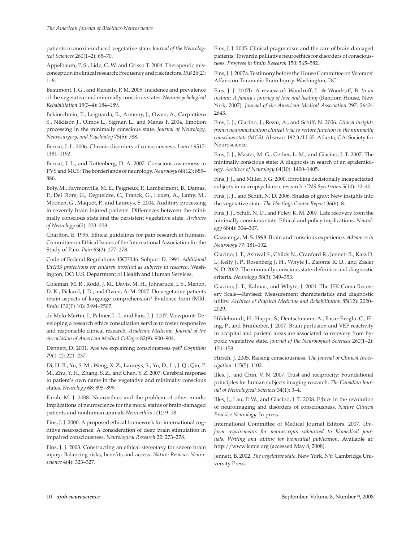patients in anoxia-induced vegetative state. *Journal of the Neurological Sciences* 260(1–2): 65–70.

Appelbaum, P. S., Lidz, C. W. and Grisso T. 2004. Therapeutic misconception in clinical research: Frequency and risk factors.*IRB*26(2): 1–8.

Beaumont, J. G., and Kenealy, P. M. 2005. Incidence and prevalence of the vegetative and minimally conscious states. *Neuropsychological Rehabilitation* 15(3–4): 184–189.

Bekinschtein, T., Leiguarda, R., Armony, J., Owen, A., Carpintiero S., Niklison J., Olmos L., Sigman L., and Manes F. 2004. Emotion processing in the minimally conscious state. *Journal of Neurology, Neurosurgery, and Psychiatry* 75(5): 788.

Bernat, J. L. 2006. Chronic disorders of consciousness. *Lancet* 9517: 1181–1192.

Bernat, J. L., and Rottenberg, D. A. 2007. Conscious awareness in PVS and MCS: The borderlands of neurology. *Neurology* 68(12): 885– 886.

Boly, M., Faymonville, M. E., Peigneux, P., Lambermont, B., Damas, P., Del Fiore, G., Degueldre, C., Franck, G., Luxen, A., Lamy, M., Moonen, G., Maquet, P., and Laureys, S. 2004. Auditory processing in severely brain injured patients: Differences between the minimally conscious state and the persistent vegetative state. *Archives of Neurology* 6(2): 233–238.

Charlton, E. 1995. Ethical guidelines for pain research in humans. Committee on Ethical Issues of the International Association for the Study of Pain. *Pain* 63(3): 277–278.

Code of Federal Regulations 45CFR46. Subpart D. 1991. *Additional DHHS protections for children involved as subjects in research*. Washington, DC: U.S. Department of Health and Human Services.

Coleman, M. R., Rodd, J. M., Davis, M. H., Johnsrude, I. S., Menon, D. K., Pickard, J. D., and Owen, A. M. 2007. Do vegetative patients retain aspects of language comprehension? Evidence from fMRI. *Brain* 130(Pt 10): 2494–2507.

de Melo-Martin, I., Palmer, L. I., and Fins, J. J. 2007. Viewpoint: Developing a research ethics consultation service to foster responsive and responsible clinical research. *Academic Medicine: Journal of the Association of American Medical Colleges* 82(9): 900–904.

Dennett, D. 2001. Are we explaining consciousness yet? *Cognition* 79(1–2): 221–237.

Di, H. B., Yu, S. M., Weng, X. Z., Laureys, S., Yu, D., Li, J. Q., Qin, P. M., Zhu, Y. H., Zhang, S. Z., and Chen, Y. Z. 2007. Cerebral response to patient's own name in the vegetative and minimally conscious states. *Neurology* 68: 895–899.

Farah, M. J. 2008. Neuroethics and the problem of other minds: Implications of neuroscience for the moral status of brain-damaged patients and nonhuman animals *Neuroethics* 1(1): 9–18.

Fins, J. J. 2000. A proposed ethical framework for international cognitive neuroscience: A consideration of deep brain stimulation in impaired consciousness. *Neurological Research* 22: 273–278.

Fins, J. J. 2003. Constructing an ethical stereotaxy for severe brain injury: Balancing risks, benefits and access. *Nature Reviews Neuroscience* 4(4): 323–327.

Fins, J. J. 2005. Clinical pragmatism and the care of brain damaged patients: Toward a palliative neuroethics for disorders of consciousness. *Progress in Brain Research* 150: 565–582.

Fins, J. J. 2007a. Testimony before the House Committee on Veterans' Affairs on Traumatic Brain Injury. Washington, DC.

Fins, J. J. 2007b. A review of: Woodruff, L. & Woodruff, B. *In an instant: A family's journey of love and healing* (Random House, New York, 2007). *Journal of the American Medical Association* 297: 2642– 2643.

Fins, J. J., Giacino, J., Rezai, A., and Schiff, N. 2006. *Ethical insights from a neuromodulation clinical trial to restore function in the minimally conscious state (MCS)*. Abstract 182.3/LL35. Atlanta, GA: Society for Neuroscience.

Fins, J. J., Master, M. G., Gerber, L. M., and Giacino, J. T. 2007. The minimally conscious state: A diagnosis in search of an epidemiology. *Archives of Neurology* 64(10): 1400–1405.

Fins, J. J., and Miller, F. G. 2000. Enrolling decisionally incapacitated subjects in neuropsychiatric research. *CNS Spectrums* 5(10): 32–40.

Fins, J. J., and Schiff, N. D. 2006. Shades of gray: New insights into the vegetative state. *The Hastings Center Report* 36(6): 8.

Fins, J. J., Schiff, N. D., and Foley, K. M. 2007. Late recovery from the minimally conscious state: Ethical and policy implications. *Neurology* 68(4): 304–307.

Gazzaniga, M. S. 1998. Brain and conscious experience. *Advances in Neurology* 77: 181–192.

Giacino, J. T., Ashwal S., Childs N., Cranford R., Jennett B., Katz D. I., Kelly J. P., Rosenberg J. H., Whyte J., Zafonte R. D., and Zasler N. D. 2002. The minimally conscious state: definition and diagnostic criteria. *Neurology* 58(3): 349–353.

Giacino, J. T., Kalmar., and Whyte, J. 2004. The JFK Coma Recovery Scale—Revised: Measurement characteristics and diagnostic utility. *Archives of Physical Medicine and Rehabilitation* 85(12): 2020– 2029.

Hildebrandt, H., Happe, S., Deutschmann, A., Basar-Eroglu, C., Eling, P., and Brunhober, J. 2007. Brain perfusion and VEP reactivity in occipital and parietal areas are associated to recovery from hypoxic vegetative state. *Journal of the Neurological Sciences* 260(1–2): 150–158.

Hirsch, J. 2005. Raising consciousness. *The Journal of Clinical Investigation.* 115(5): 1102.

Illes, J., and Chin, V. N. 2007. Trust and reciprocity: Foundational principles for human subjects imaging research. *The Canadian Journal of Neurological Sciences* 34(1): 3–4.

Illes, J., Lau, P. W., and Giacino, J. T. 2008. Ethics in the revolution of neuroimaging and disorders of consciousness. *Nature Clinical Practice Neurology.* In press.

International Committee of Medical Journal Editors. 2007. *Uniform requirements for manuscripts submitted to biomedical journals: Writing and editing for biomedical publication*. Available at: http://www.icmje.org (accessed May 8, 2008).

Jennett, B. 2002. *The vegetative state*. New York, NY: Cambridge University Press.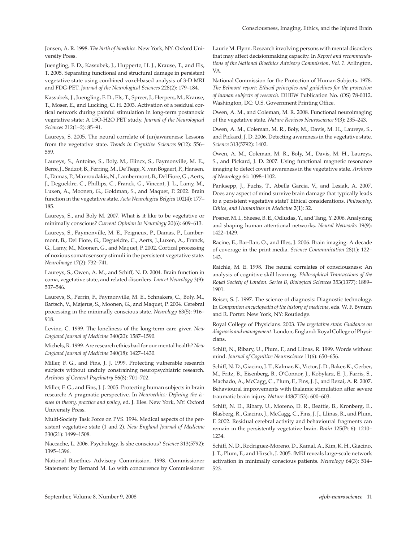Jonsen, A. R. 1998. *The birth of bioethics*. New York, NY: Oxford University Press.

Juengling, F. D., Kassubek, J., Huppertz, H. J., Krause, T., and Els, T. 2005. Separating functional and structural damage in persistent vegetative state using combined voxel-based analysis of 3-D MRI and FDG-PET. *Journal of the Neurological Sciences* 228(2): 179–184.

Kassubek, J., Juengling, F. D., Els, T., Spreer, J., Herpers, M., Krause, T., Moser, E., and Lucking, C. H. 2003. Activation of a residual cortical network during painful stimulation in long-term postanoxic vegetative state: A 15O-H2O PET study. *Journal of the Neurological Sciences* 212(1–2): 85–91.

Laureys, S. 2005. The neural correlate of (un)awareness: Lessons from the vegetative state. *Trends in Cognitive Sciences* 9(12): 556– 559.

Laureys, S., Antoine, S., Boly, M., Elincx, S., Faymonville, M. E., Berre, J., Sadzot, B., Ferring, M., De Tiege, X.,van Bogaert, P., Hansen, I., Damas, P., Mavroudakis, N., Lambermont, B., Del Fiore, G., Aerts, J., Degueldre, C., Phillips, C., Franck, G., Vincent, J. L., Lamy, M., Luxen, A., Moonen, G., Goldman, S., and Maquet, P. 2002. Brain function in the vegetative state. *Acta Neurologica Belgica* 102(4): 177– 185.

Laureys, S., and Boly M. 2007. What is it like to be vegetative or minimally conscious? *Current Opinion in Neurology* 20(6): 609–613.

Laureys, S., Faymonville, M. E., Peigneux, P., Damas, P., Lambermont, B., Del Fiore, G., Degueldre, C., Aerts, J.,Luxen, A., Franck, G., Lamy, M., Moonen, G., and Maquet, P. 2002. Cortical processing of noxious somatosensory stimuli in the persistent vegetative state. *NeuroImage* 17(2): 732–741.

Laureys, S., Owen, A. M., and Schiff, N. D. 2004. Brain function in coma, vegetative state, and related disorders. *Lancet Neurology* 3(9): 537–546.

Laureys, S., Perrin, F., Faymonville, M. E., Schnakers, C., Boly, M., Bartsch, V., Majerus, S., Moonen, G., and Maquet, P. 2004. Cerebral processing in the minimally conscious state. *Neurology* 63(5): 916– 918.

Levine, C. 1999. The loneliness of the long-term care giver. *New England Journal of Medicine* 340(20): 1587–1590.

Michels, R. 1999. Are research ethics bad for our mental health? *New England Journal of Medicine* 340(18): 1427–1430.

Miller, F. G., and Fins, J. J. 1999. Protecting vulnerable research subjects without unduly constraining neuropsychiatric research. *Archives of General Psychiatry* 56(8): 701–702.

Miller, F. G., and Fins, J. J. 2005. Protecting human subjects in brain research: A pragmatic perspective. In *Neuroethics: Defining the issues in theory, practice and policy*, ed. J. Illes. New York, NY: Oxford University Press.

Multi-Society Task Force on PVS. 1994. Medical aspects of the persistent vegetative state (1 and 2). *New England Journal of Medicine* 330(21): 1499–1508.

Naccache, L. 2006. Psychology. Is she conscious? *Science* 313(5792): 1395–1396.

National Bioethics Advisory Commission. 1998. Commissioner Statement by Bernard M. Lo with concurrence by Commissioner Laurie M. Flynn. Research involving persons with mental disorders that may affect decisionmaking capacity. In *Report and recommendations of the National Bioethics Advisory Commission, Vol. 1*. Arlington, VA.

National Commission for the Protection of Human Subjects. 1978. *The Belmont report: Ethical principles and guidelines for the protection of human subjects of research*. DHEW Publication No. (OS) 78-0012. Washington, DC: U.S. Government Printing Office.

Owen, A. M., and Coleman, M. R. 2008. Functional neuroimaging of the vegetative state. *Nature Reviews Neuroscience* 9(3): 235–243.

Owen, A. M., Coleman, M. R., Boly, M., Davis, M. H., Laureys, S., and Pickard, J. D. 2006. Detecting awareness in the vegetative state. *Science* 313(5792): 1402.

Owen, A. M., Coleman, M. R., Boly, M., Davis, M. H., Laureys, S., and Pickard, J. D. 2007. Using functional magnetic resonance imaging to detect covert awareness in the vegetative state. *Archives of Neurology* 64: 1098–1102.

Panksepp, J., Fuchs, T., Abella Garcia, V., and Lesiak, A. 2007. Does any aspect of mind survive brain damage that typically leads to a persistent vegetative state? Ethical considerations. *Philosophy, Ethics, and Humanities in Medicine* 2(1): 32.

Posner, M. I., Sheese, B. E., Odludas, Y., and Tang, Y. 2006. Analyzing and shaping human attentional networks. *Neural Networks* 19(9): 1422–1429.

Racine, E., Bar-Ilan, O., and Illes, J. 2006. Brain imaging: A decade of coverage in the print media. *Science Communication* 28(1): 122– 143.

Raichle, M. E. 1998. The neural correlates of consciousness: An analysis of cognitive skill learning. *Philosophical Transactions of the Royal Society of London. Series B, Biological Sciences* 353(1377): 1889– 1901.

Reiser, S. J. 1997. The science of diagnosis: Diagnostic technology. In *Companion encyclopedia of the history of medicine*, eds. W. F. Bynum and R. Porter. New York, NY: Routledge.

Royal College of Physicians. 2003. *The vegetative state: Guidance on diagnosis and management*. London, England: Royal College of Physicians.

Schiff, N., Ribary, U., Plum, F., and Llinas, R. 1999. Words without mind. *Journal of Cognitive Neuroscience* 11(6): 650–656.

Schiff, N. D., Giacino, J. T., Kalmar, K., Victor, J. D., Baker, K., Gerber, M., Fritz, B., Eisenberg, B., O'Connor, J., Kobylarz, E. J., Farris, S., Machado, A., McCagg, C., Plum, F., Fins, J. J., and Rezai, A. R. 2007. Behavioural improvements with thalamic stimulation after severe traumatic brain injury. *Nature* 448(7153): 600–603.

Schiff, N. D., Ribary, U., Moreno, D. R., Beattie, B., Kronberg, E., Blasberg, R., Giacino, J., McCagg, C., Fins, J. J., Llinas, R., and Plum, F. 2002. Residual cerebral activity and behavioural fragments can remain in the persistently vegetative brain. *Brain* 125(Pt 6): 1210– 1234.

Schiff, N. D., Rodriguez-Moreno, D., Kamal, A., Kim, K. H., Giacino, J. T., Plum, F., and Hirsch, J. 2005. fMRI reveals large-scale network activation in minimally conscious patients. *Neurology* 64(3): 514– 523.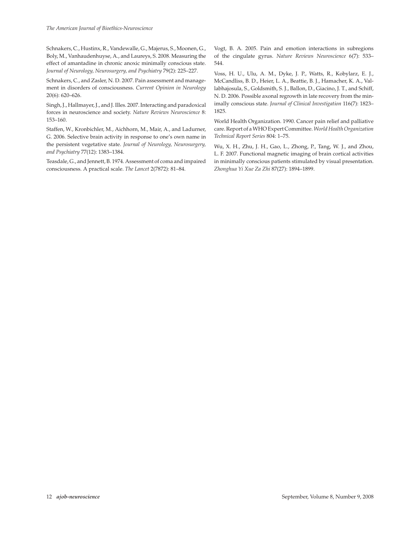Schnakers, C., Hustinx, R., Vandewalle, G., Majerus, S., Moonen, G., Boly, M., Vanhaudenhuyse, A., and Laureys, S. 2008. Measuring the effect of amantadine in chronic anoxic minimally conscious state. *Journal of Neurology, Neurosurgery, and Psychiatry* 79(2): 225–227.

Schnakers, C., and Zasler, N. D. 2007. Pain assessment and management in disorders of consciousness. *Current Opinion in Neurology* 20(6): 620–626.

Singh, J., Hallmayer, J., and J. Illes. 2007. Interacting and paradoxical forces in neuroscience and society. *Nature Reviews Neuroscience* 8: 153–160.

Staffen, W., Kronbichler, M., Aichhorn, M., Mair, A., and Ladurner, G. 2006. Selective brain activity in response to one's own name in the persistent vegetative state. *Journal of Neurology, Neurosurgery, and Psychiatry* 77(12): 1383–1384.

Teasdale, G., and Jennett, B. 1974. Assessment of coma and impaired consciousness. A practical scale. *The Lancet* 2(7872): 81–84.

Vogt, B. A. 2005. Pain and emotion interactions in subregions of the cingulate gyrus. *Nature Reviews Neuroscience* 6(7): 533– 544.

Voss, H. U., Ulu, A. M., Dyke, J. P., Watts, R., Kobylarz, E. J., McCandliss, B. D., Heier, L. A., Beattie, B. J., Hamacher, K. A., Vallabhajosula, S., Goldsmith, S. J., Ballon, D., Giacino, J. T., and Schiff, N. D. 2006. Possible axonal regrowth in late recovery from the minimally conscious state. *Journal of Clinical Investigation* 116(7): 1823– 1825.

World Health Organization. 1990. Cancer pain relief and palliative care. Report of a WHO Expert Committee.*World Health Organization Technical Report Series* 804: 1–75.

Wu, X. H., Zhu, J. H., Gao, L., Zhong, P., Tang, W. J., and Zhou, L. F. 2007. Functional magnetic imaging of brain cortical activities in minimally conscious patients stimulated by visual presentation. *Zhonghua Yi Xue Za Zhi* 87(27): 1894–1899.